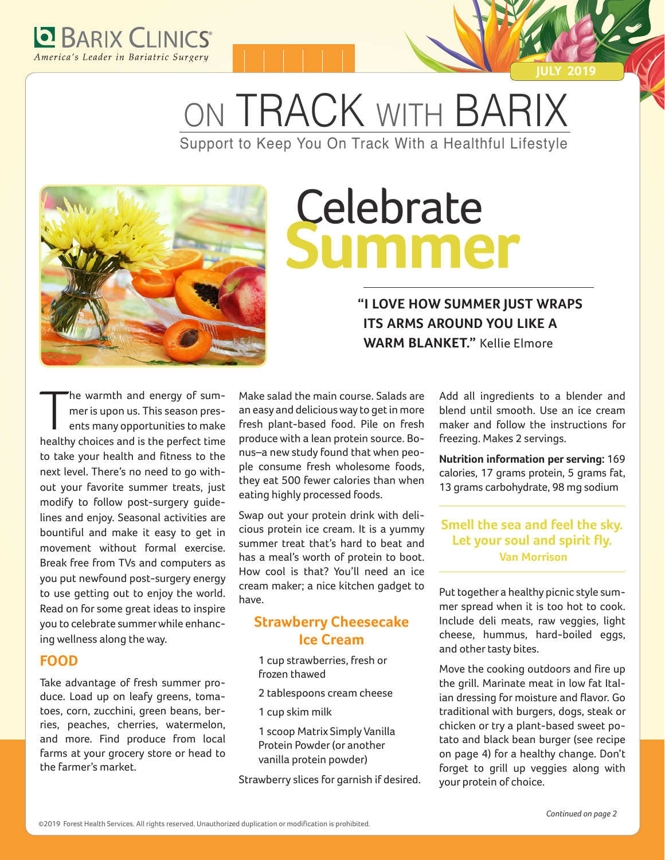

ON TRACK WITH BARIX Support to Keep You On Track With a Healthful Lifestyle



# Celebrate **Summer**

#### **"I LOVE HOW SUMMER JUST WRAPS ITS ARMS AROUND YOU LIKE A WARM BLANKET."** Kellie Elmore

The warmth and energy of sum-<br>mer is upon us. This season pres-<br>ents many opportunities to make<br>healthy choices and is the perfect time he warmth and energy of summer is upon us. This season presents many opportunities to make to take your health and fitness to the next level. There's no need to go without your favorite summer treats, just modify to follow post-surgery guidelines and enjoy. Seasonal activities are bountiful and make it easy to get in movement without formal exercise. Break free from TVs and computers as you put newfound post-surgery energy to use getting out to enjoy the world. Read on for some great ideas to inspire you to celebrate summer while enhancing wellness along the way.

#### **FOOD**

Take advantage of fresh summer produce. Load up on leafy greens, tomatoes, corn, zucchini, green beans, berries, peaches, cherries, watermelon, and more. Find produce from local farms at your grocery store or head to the farmer's market.

Make salad the main course. Salads are an easy and delicious way to get in more fresh plant-based food. Pile on fresh produce with a lean protein source. Bonus–a new study found that when people consume fresh wholesome foods, they eat 500 fewer calories than when eating highly processed foods.

Swap out your protein drink with delicious protein ice cream. It is a yummy summer treat that's hard to beat and has a meal's worth of protein to boot. How cool is that? You'll need an ice cream maker; a nice kitchen gadget to have.

#### **Strawberry Cheesecake Ice Cream**

1 cup strawberries, fresh or frozen thawed

- 2 tablespoons cream cheese
- 1 cup skim milk
- 1 scoop Matrix Simply Vanilla Protein Powder (or another vanilla protein powder)

Strawberry slices for garnish if desired.

Add all ingredients to a blender and blend until smooth. Use an ice cream maker and follow the instructions for freezing. Makes 2 servings.

**JULY 2019**

**Nutrition information per serving:** 169 calories, 17 grams protein, 5 grams fat, 13 grams carbohydrate, 98 mg sodium

#### **Smell the sea and feel the sky. Let your soul and spirit fly. Van Morrison**

Put together a healthy picnic style summer spread when it is too hot to cook. Include deli meats, raw veggies, light cheese, hummus, hard-boiled eggs, and other tasty bites.

Move the cooking outdoors and fire up the grill. Marinate meat in low fat Italian dressing for moisture and flavor. Go traditional with burgers, dogs, steak or chicken or try a plant-based sweet potato and black bean burger (see recipe on page 4) for a healthy change. Don't forget to grill up veggies along with your protein of choice.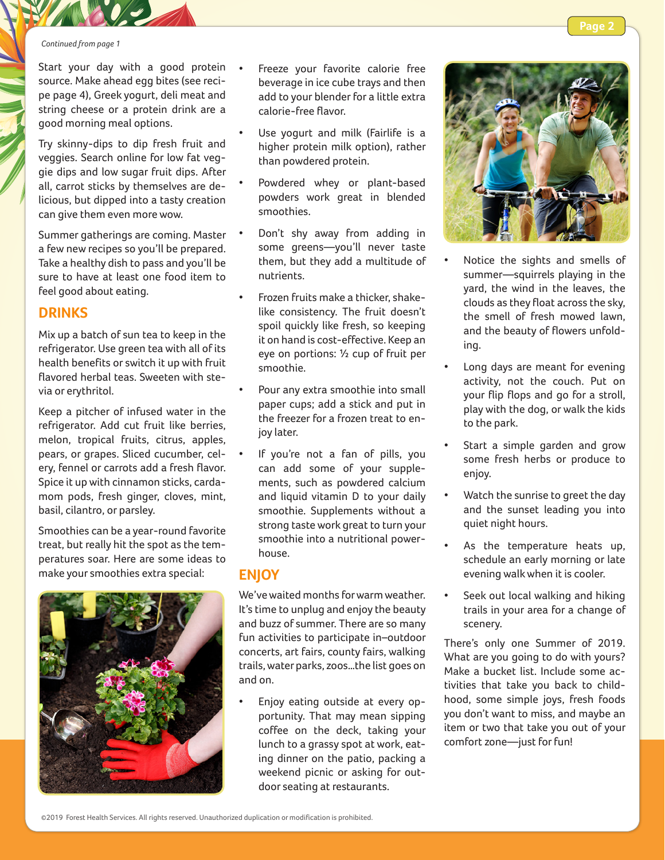#### *Continued from page 1*

Start your day with a good protein . source. Make ahead egg bites (see recipe page 4), Greek yogurt, deli meat and string cheese or a protein drink are a good morning meal options.

Try skinny-dips to dip fresh fruit and veggies. Search online for low fat veggie dips and low sugar fruit dips. After all, carrot sticks by themselves are delicious, but dipped into a tasty creation can give them even more wow.

Summer gatherings are coming. Master a few new recipes so you'll be prepared. Take a healthy dish to pass and you'll be sure to have at least one food item to feel good about eating.

#### **DRINKS**

Mix up a batch of sun tea to keep in the refrigerator. Use green tea with all of its health benefits or switch it up with fruit flavored herbal teas. Sweeten with stevia or erythritol.

Keep a pitcher of infused water in the refrigerator. Add cut fruit like berries, melon, tropical fruits, citrus, apples, pears, or grapes. Sliced cucumber, celery, fennel or carrots add a fresh flavor. Spice it up with cinnamon sticks, cardamom pods, fresh ginger, cloves, mint, basil, cilantro, or parsley.

Smoothies can be a year-round favorite treat, but really hit the spot as the temperatures soar. Here are some ideas to make your smoothies extra special:

- Freeze your favorite calorie free beverage in ice cube trays and then add to your blender for a little extra calorie-free flavor.
- Use yogurt and milk (Fairlife is a higher protein milk option), rather than powdered protein.
- Powdered whey or plant-based powders work great in blended smoothies.
- Don't shy away from adding in some greens—you'll never taste them, but they add a multitude of nutrients.
- Frozen fruits make a thicker, shakelike consistency. The fruit doesn't spoil quickly like fresh, so keeping it on hand is cost-effective. Keep an eye on portions: ½ cup of fruit per smoothie.
- Pour any extra smoothie into small paper cups; add a stick and put in the freezer for a frozen treat to enjoy later.
- If you're not a fan of pills, you can add some of your supplements, such as powdered calcium and liquid vitamin D to your daily smoothie. Supplements without a strong taste work great to turn your smoothie into a nutritional powerhouse.

#### **ENJOY**

We've waited months for warm weather. It's time to unplug and enjoy the beauty and buzz of summer. There are so many fun activities to participate in–outdoor concerts, art fairs, county fairs, walking trails, water parks, zoos…the list goes on and on.

• Enjoy eating outside at every opportunity. That may mean sipping coffee on the deck, taking your lunch to a grassy spot at work, eating dinner on the patio, packing a weekend picnic or asking for outdoor seating at restaurants.



- Notice the sights and smells of summer—squirrels playing in the yard, the wind in the leaves, the clouds as they float across the sky, the smell of fresh mowed lawn, and the beauty of flowers unfolding.
- Long days are meant for evening activity, not the couch. Put on your flip flops and go for a stroll, play with the dog, or walk the kids to the park.
- Start a simple garden and grow some fresh herbs or produce to enjoy.
- Watch the sunrise to greet the day and the sunset leading you into quiet night hours.
- As the temperature heats up, schedule an early morning or late evening walk when it is cooler.
- Seek out local walking and hiking trails in your area for a change of scenery.

There's only one Summer of 2019. What are you going to do with yours? Make a bucket list. Include some activities that take you back to childhood, some simple joys, fresh foods you don't want to miss, and maybe an item or two that take you out of your comfort zone—just for fun!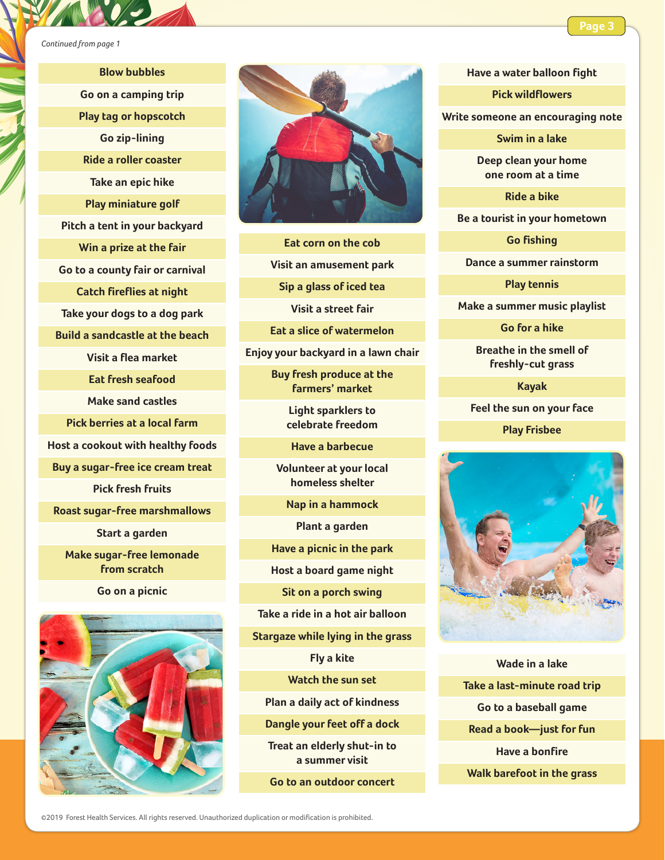**Blow bubbles Go on a camping trip Play tag or hopscotch Go zip-lining Ride a roller coaster Take an epic hike Play miniature golf Pitch a tent in your backyard Win a prize at the fair Go to a county fair or carnival Catch fireflies at night Take your dogs to a dog park Build a sandcastle at the beach Visit a flea market Eat fresh seafood Make sand castles Pick berries at a local farm Host a cookout with healthy foods Buy a sugar-free ice cream treat Pick fresh fruits Roast sugar-free marshmallows Start a garden Make sugar-free lemonade from scratch**

**Go on a picnic**





**Eat corn on the cob**

**Visit an amusement park**

**Sip a glass of iced tea**

**Visit a street fair**

**Eat a slice of watermelon**

**Enjoy your backyard in a lawn chair**

**Buy fresh produce at the farmers' market**

> **Light sparklers to celebrate freedom**

**Have a barbecue**

**Volunteer at your local homeless shelter**

**Nap in a hammock**

**Plant a garden** 

**Have a picnic in the park**

**Host a board game night**

**Sit on a porch swing**

**Take a ride in a hot air balloon**

**Stargaze while lying in the grass**

**Fly a kite**

**Watch the sun set** 

**Plan a daily act of kindness** 

**Dangle your feet off a dock**

**Treat an elderly shut-in to a summer visit**

**Go to an outdoor concert**

**Have a water balloon fight** 

**Pick wildflowers**

**Write someone an encouraging note**

**Swim in a lake**

**Deep clean your home one room at a time**

**Ride a bike**

**Be a tourist in your hometown**

**Go fishing**

**Dance a summer rainstorm**

**Play tennis**

**Make a summer music playlist**

**Go for a hike**

**Breathe in the smell of freshly-cut grass**

**Kayak**

**Feel the sun on your face**

**Play Frisbee**



**Wade in a lake Take a last-minute road trip Go to a baseball game Read a book—just for fun Have a bonfire Walk barefoot in the grass**

©2019 Forest Health Services. All rights reserved. Unauthorized duplication or modification is prohibited.